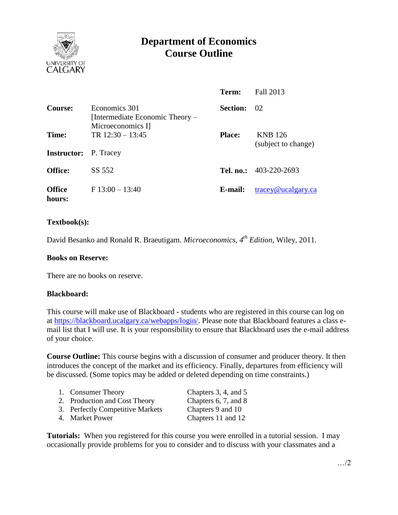

# **Department of Economics Course Outline**

|                             |                                                                       | Term:           | Fall 2013                             |
|-----------------------------|-----------------------------------------------------------------------|-----------------|---------------------------------------|
| Course:                     | Economics 301<br>[Intermediate Economic Theory –<br>Microeconomics I] | <b>Section:</b> | 02                                    |
| Time:<br><b>Instructor:</b> | TR $12:30 - 13:45$<br>P. Tracey                                       | <b>Place:</b>   | <b>KNB</b> 126<br>(subject to change) |
| <b>Office:</b>              | SS 552                                                                |                 | Tel. no.: $403-220-2693$              |
| <b>Office</b><br>hours:     | $F13:00-13:40$                                                        | E-mail:         | tracey@ucalgary.ca                    |

## **Textbook(s):**

David Besanko and Ronald R. Braeutigam. *Microeconomics, 4 th Edition*, Wiley, 2011.

#### **Books on Reserve:**

There are no books on reserve.

#### **Blackboard:**

This course will make use of Blackboard - students who are registered in this course can log on at [https://blackboard.ucalgary.ca/webapps/login/.](https://blackboard.ucalgary.ca/webapps/login/) Please note that Blackboard features a class email list that I will use. It is your responsibility to ensure that Blackboard uses the e-mail address of your choice.

**Course Outline:** This course begins with a discussion of consumer and producer theory. It then introduces the concept of the market and its efficiency. Finally, departures from efficiency will be discussed. (Some topics may be added or deleted depending on time constraints.)

| 1. Consumer Theory               | Chapters 3, 4, and 5      |
|----------------------------------|---------------------------|
| 2. Production and Cost Theory    | Chapters $6, 7$ , and $8$ |
| 3. Perfectly Competitive Markets | Chapters 9 and 10         |
| 4. Market Power                  | Chapters 11 and 12        |

**Tutorials:** When you registered for this course you were enrolled in a tutorial session. I may occasionally provide problems for you to consider and to discuss with your classmates and a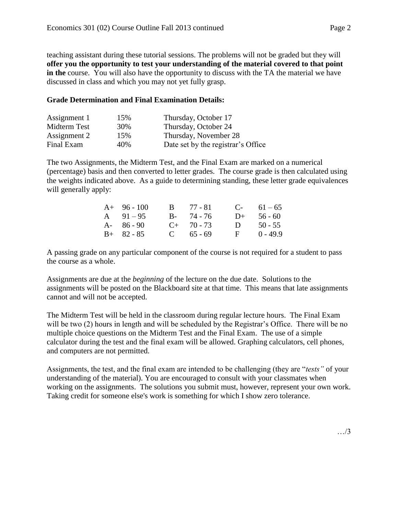teaching assistant during these tutorial sessions. The problems will not be graded but they will **offer you the opportunity to test your understanding of the material covered to that point in the** course. You will also have the opportunity to discuss with the TA the material we have discussed in class and which you may not yet fully grasp.

### **Grade Determination and Final Examination Details:**

| Assignment 1 | 15% | Thursday, October 17               |
|--------------|-----|------------------------------------|
| Midterm Test | 30% | Thursday, October 24               |
| Assignment 2 | 15% | Thursday, November 28              |
| Final Exam   | 40% | Date set by the registrar's Office |

The two Assignments, the Midterm Test, and the Final Exam are marked on a numerical (percentage) basis and then converted to letter grades. The course grade is then calculated using the weights indicated above. As a guide to determining standing, these letter grade equivalences will generally apply:

| $A+ 96-100$   | $B = 77 - 81$ |              | $C-61-65$    |
|---------------|---------------|--------------|--------------|
| A $91-95$     | $B - 74 - 76$ |              | $D+ 56 - 60$ |
| $A - 86 - 90$ | $C+ 70-73$    |              | D $50 - 55$  |
| $B+ 82 - 85$  | $C = 65 - 69$ | $\mathbf{F}$ | $0 - 49.9$   |

A passing grade on any particular component of the course is not required for a student to pass the course as a whole.

Assignments are due at the *beginning* of the lecture on the due date. Solutions to the assignments will be posted on the Blackboard site at that time. This means that late assignments cannot and will not be accepted.

The Midterm Test will be held in the classroom during regular lecture hours. The Final Exam will be two (2) hours in length and will be scheduled by the Registrar's Office. There will be no multiple choice questions on the Midterm Test and the Final Exam. The use of a simple calculator during the test and the final exam will be allowed. Graphing calculators, cell phones, and computers are not permitted.

Assignments, the test, and the final exam are intended to be challenging (they are "*tests"* of your understanding of the material). You are encouraged to consult with your classmates when working on the assignments. The solutions you submit must, however, represent your own work. Taking credit for someone else's work is something for which I show zero tolerance.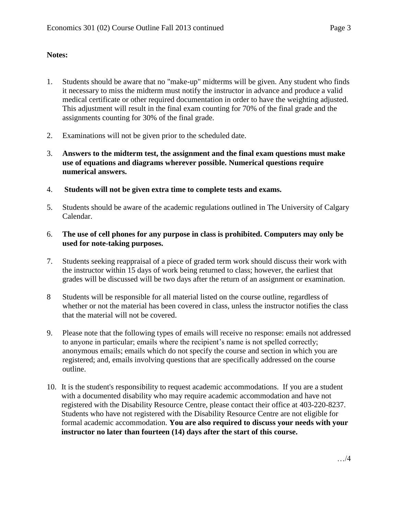## **Notes:**

- 1. Students should be aware that no "make-up" midterms will be given. Any student who finds it necessary to miss the midterm must notify the instructor in advance and produce a valid medical certificate or other required documentation in order to have the weighting adjusted. This adjustment will result in the final exam counting for 70% of the final grade and the assignments counting for 30% of the final grade.
- 2. Examinations will not be given prior to the scheduled date.
- 3. **Answers to the midterm test, the assignment and the final exam questions must make use of equations and diagrams wherever possible. Numerical questions require numerical answers.**
- 4. **Students will not be given extra time to complete tests and exams.**
- 5. Students should be aware of the academic regulations outlined in The University of Calgary Calendar.
- 6. **The use of cell phones for any purpose in class is prohibited. Computers may only be used for note-taking purposes.**
- 7. Students seeking reappraisal of a piece of graded term work should discuss their work with the instructor within 15 days of work being returned to class; however, the earliest that grades will be discussed will be two days after the return of an assignment or examination.
- 8 Students will be responsible for all material listed on the course outline, regardless of whether or not the material has been covered in class, unless the instructor notifies the class that the material will not be covered.
- 9. Please note that the following types of emails will receive no response: emails not addressed to anyone in particular; emails where the recipient's name is not spelled correctly; anonymous emails; emails which do not specify the course and section in which you are registered; and, emails involving questions that are specifically addressed on the course outline.
- 10. It is the student's responsibility to request academic accommodations. If you are a student with a documented disability who may require academic accommodation and have not registered with the Disability Resource Centre, please contact their office at 403-220-8237. Students who have not registered with the Disability Resource Centre are not eligible for formal academic accommodation. **You are also required to discuss your needs with your instructor no later than fourteen (14) days after the start of this course.**